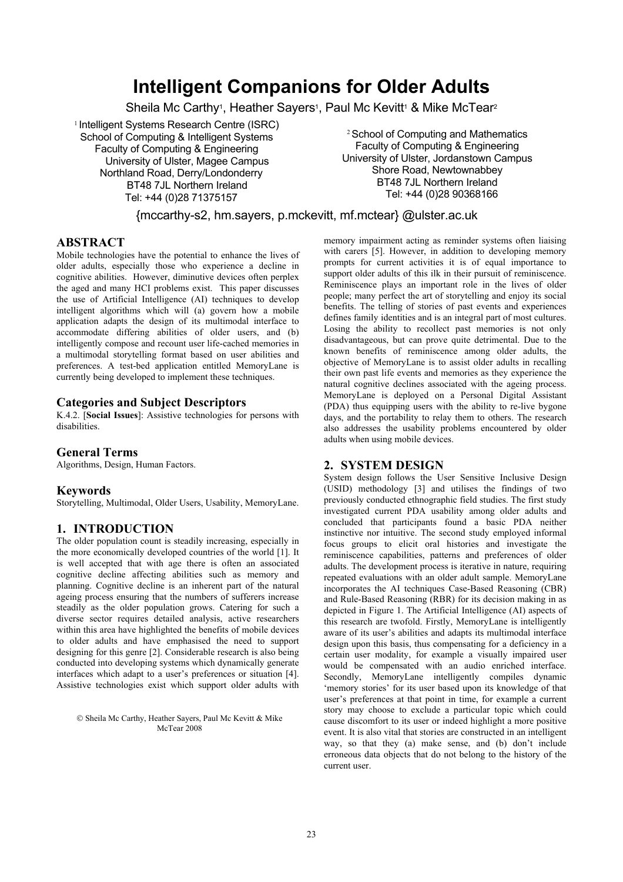# **Intelligent Companions for Older Adults**

Sheila Mc Carthy<sup>1</sup>, Heather Sayers<sup>1</sup>, Paul Mc Kevitt<sup>1</sup> & Mike McTear<sup>2</sup>

<sup>1</sup> Intelligent Systems Research Centre (ISRC) School of Computing & Intelligent Systems Faculty of Computing & Engineering University of Ulster, Magee Campus Northland Road, Derry/Londonderry BT48 7JL Northern Ireland Tel: +44 (0)28 71375157

<sup>2</sup> School of Computing and Mathematics Faculty of Computing & Engineering University of Ulster, Jordanstown Campus Shore Road, Newtownabbey BT48 7JL Northern Ireland Tel: +44 (0)28 90368166

{mccarthy-s2, hm.sayers, p.mckevitt, mf.mctear} @ulster.ac.uk

### **ABSTRACT**

Mobile technologies have the potential to enhance the lives of older adults, especially those who experience a decline in cognitive abilities. However, diminutive devices often perplex the aged and many HCI problems exist. This paper discusses the use of Artificial Intelligence (AI) techniques to develop intelligent algorithms which will (a) govern how a mobile application adapts the design of its multimodal interface to accommodate differing abilities of older users, and (b) intelligently compose and recount user life-cached memories in a multimodal storytelling format based on user abilities and preferences. A test-bed application entitled MemoryLane is currently being developed to implement these techniques.

#### **Categories and Subject Descriptors**

K.4.2. [**Social Issues**]: Assistive technologies for persons with disabilities.

# **General Terms**

Algorithms, Design, Human Factors.

# **Keywords**

Storytelling, Multimodal, Older Users, Usability, MemoryLane.

# **1. INTRODUCTION**

The older population count is steadily increasing, especially in the more economically developed countries of the world [\[1\].](#page-1-0) It is well accepted that with age there is often an associated cognitive decline affecting abilities such as memory and planning. Cognitive decline is an inherent part of the natural ageing process ensuring that the numbers of sufferers increase steadily as the older population grows. Catering for such a diverse sector requires detailed analysis, active researchers within this area have highlighted the benefits of mobile devices to older adults and have emphasised the need to support designing for this genre [\[2\].](#page-1-1) Considerable research is also being conducted into developing systems which dynamically generate interfaces which adapt to a user's preferences or situation [\[4\].](#page-1-2) Assistive technologies exist which support older adults with

 Sheila Mc Carthy, Heather Sayers, Paul Mc Kevitt & Mike McTear 2008

memory impairment acting as reminder systems often liaising with carers [\[5\].](#page-1-3) However, in addition to developing memory prompts for current activities it is of equal importance to support older adults of this ilk in their pursuit of reminiscence. Reminiscence plays an important role in the lives of older people; many perfect the art of storytelling and enjoy its social benefits. The telling of stories of past events and experiences defines family identities and is an integral part of most cultures. Losing the ability to recollect past memories is not only disadvantageous, but can prove quite detrimental. Due to the known benefits of reminiscence among older adults, the objective of MemoryLane is to assist older adults in recalling their own past life events and memories as they experience the natural cognitive declines associated with the ageing process. MemoryLane is deployed on a Personal Digital Assistant (PDA) thus equipping users with the ability to re-live bygone days, and the portability to relay them to others. The research also addresses the usability problems encountered by older adults when using mobile devices.

# **2. SYSTEM DESIGN**

System design follows the User Sensitive Inclusive Design (USID) methodology [\[3\]](#page-1-4) and utilises the findings of two previously conducted ethnographic field studies. The first study investigated current PDA usability among older adults and concluded that participants found a basic PDA neither instinctive nor intuitive. The second study employed informal focus groups to elicit oral histories and investigate the reminiscence capabilities, patterns and preferences of older adults. The development process is iterative in nature, requiring repeated evaluations with an older adult sample. MemoryLane incorporates the AI techniques Case-Based Reasoning (CBR) and Rule-Based Reasoning (RBR) for its decision making in as depicted in Figure 1. The Artificial Intelligence (AI) aspects of this research are twofold. Firstly, MemoryLane is intelligently aware of its user's abilities and adapts its multimodal interface design upon this basis, thus compensating for a deficiency in a certain user modality, for example a visually impaired user would be compensated with an audio enriched interface. Secondly, MemoryLane intelligently compiles dynamic 'memory stories' for its user based upon its knowledge of that user's preferences at that point in time, for example a current story may choose to exclude a particular topic which could cause discomfort to its user or indeed highlight a more positive event. It is also vital that stories are constructed in an intelligent way, so that they (a) make sense, and (b) don't include erroneous data objects that do not belong to the history of the current user.